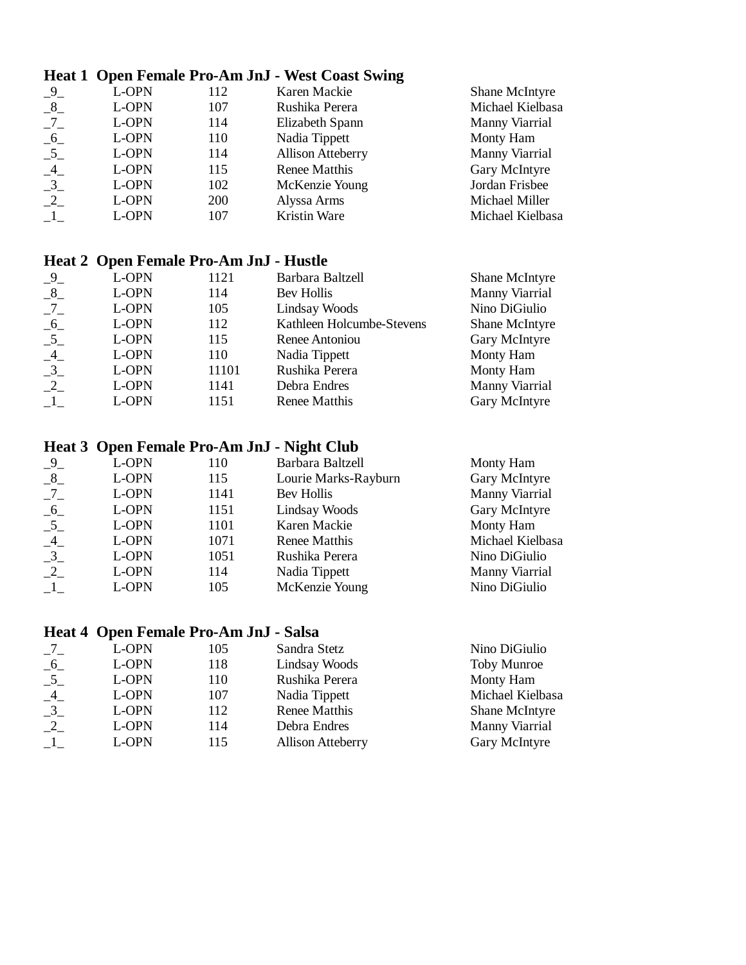### **Heat 1 Open Female Pro-Am JnJ - West Coast Swing**

| $-9$ | L-OPN | 112        | Karen Mackie             | Shane McIntyre   |
|------|-------|------------|--------------------------|------------------|
| $-8$ | L-OPN | 107        | Rushika Perera           | Michael Kielbasa |
| $-7$ | L-OPN | 114        | Elizabeth Spann          | Manny Viarrial   |
| $-6$ | L-OPN | 110        | Nadia Tippett            | Monty Ham        |
| $-5$ | L-OPN | 114        | <b>Allison Atteberry</b> | Manny Viarrial   |
| $-4$ | L-OPN | 115        | Renee Matthis            | Gary McIntyre    |
| $-3$ | L-OPN | 102        | McKenzie Young           | Jordan Frisbee   |
| $-2$ | L-OPN | <b>200</b> | Alyssa Arms              | Michael Miller   |
| $-1$ | L-OPN | 107        | Kristin Ware             | Michael Kielbasa |
|      |       |            |                          |                  |

### **Heat 2 Open Female Pro-Am JnJ - Hustle**

| $-9$ | L-OPN | 1121  | Barbara Baltzell          | Shane McIntyre |
|------|-------|-------|---------------------------|----------------|
| $-8$ | L-OPN | 114   | Bev Hollis                | Manny Viarrial |
|      | L-OPN | 105   | Lindsay Woods             | Nino DiGiulio  |
| $-6$ | L-OPN | 112   | Kathleen Holcumbe-Stevens | Shane McIntyre |
| $-5$ | L-OPN | 115   | Renee Antoniou            | Gary McIntyre  |
| $-4$ | L-OPN | 110   | Nadia Tippett             | Monty Ham      |
| $-3$ | L-OPN | 11101 | Rushika Perera            | Monty Ham      |
| $-2$ | L-OPN | 1141  | Debra Endres              | Manny Viarrial |
|      | L-OPN | 1151  | Renee Matthis             | Gary McIntyre  |
|      |       |       |                           |                |

# **Heat 3 Open Female Pro-Am JnJ - Night Club**

| $-9$ | L-OPN | 110  | Barbara Baltzell     | Monty Ham        |  |
|------|-------|------|----------------------|------------------|--|
| $-8$ | L-OPN | 115  | Lourie Marks-Rayburn | Gary McIntyre    |  |
| $-7$ | L-OPN | 1141 | Bev Hollis           | Manny Viarrial   |  |
| $-6$ | L-OPN | 1151 | Lindsay Woods        | Gary McIntyre    |  |
| $-5$ | L-OPN | 1101 | Karen Mackie         | Monty Ham        |  |
| $-4$ | L-OPN | 1071 | Renee Matthis        | Michael Kielbasa |  |
| $-3$ | L-OPN | 1051 | Rushika Perera       | Nino DiGiulio    |  |
| $-2$ | L-OPN | 114  | Nadia Tippett        | Manny Viarrial   |  |
|      | L-OPN | 105  | McKenzie Young       | Nino DiGiulio    |  |
|      |       |      |                      |                  |  |

## **Heat 4 Open Female Pro-Am JnJ - Salsa**

| $-7$ | L-OPN | 105 | Sandra Stetz             | Nino DiGiulio      |  |
|------|-------|-----|--------------------------|--------------------|--|
| $-6$ | L-OPN | 118 | Lindsay Woods            | <b>Toby Munroe</b> |  |
| $-5$ | L-OPN | 110 | Rushika Perera           | Monty Ham          |  |
| $-4$ | L-OPN | 107 | Nadia Tippett            | Michael Kielbasa   |  |
| $-3$ | L-OPN | 112 | Renee Matthis            | Shane McIntyre     |  |
| $-2$ | L-OPN | 114 | Debra Endres             | Manny Viarrial     |  |
| $-1$ | L-OPN | 115 | <b>Allison Atteberry</b> | Gary McIntyre      |  |
|      |       |     |                          |                    |  |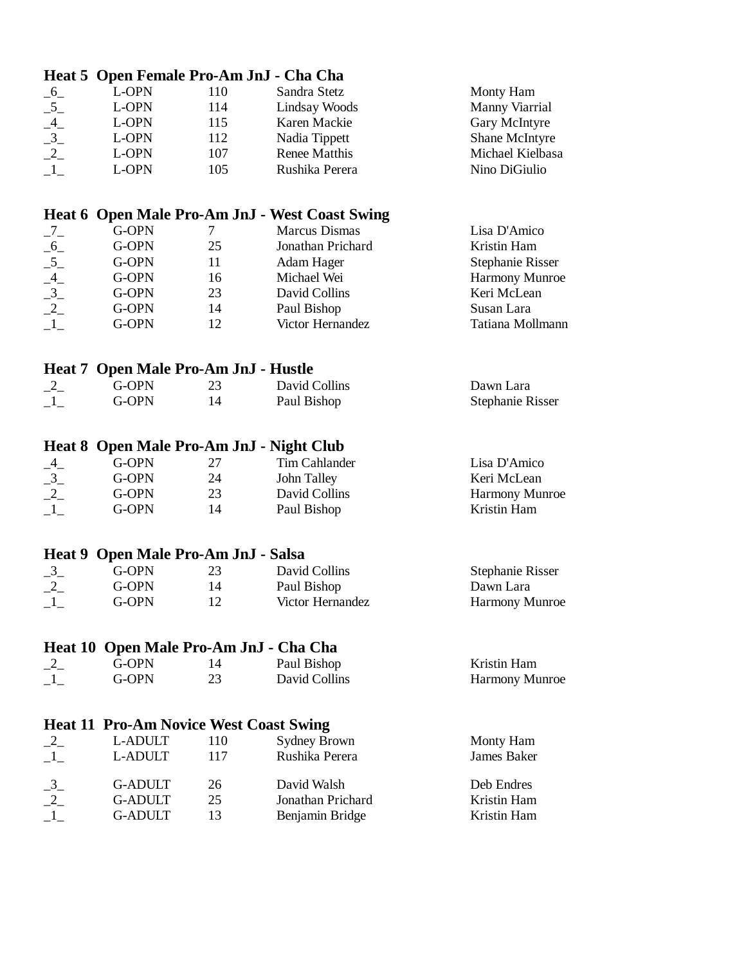|                                                                 | Heat 5 Open Female Pro-Am JnJ - Cha Cha       |     |                                                |                         |  |
|-----------------------------------------------------------------|-----------------------------------------------|-----|------------------------------------------------|-------------------------|--|
|                                                                 | L-OPN                                         | 110 | Sandra Stetz                                   | Monty Ham               |  |
|                                                                 | L-OPN                                         | 114 | Lindsay Woods                                  | Manny Viarrial          |  |
|                                                                 | L-OPN                                         | 115 | Karen Mackie                                   | Gary McIntyre           |  |
|                                                                 | L-OPN                                         | 112 | Nadia Tippett                                  | Shane McIntyre          |  |
|                                                                 | L-OPN                                         | 107 | Renee Matthis                                  | Michael Kielbasa        |  |
| $\begin{array}{c} -6 \\ -5 \\ -4 \\ -3 \\ -2 \\ -1 \end{array}$ | L-OPN                                         | 105 | Rushika Perera                                 | Nino DiGiulio           |  |
|                                                                 |                                               |     |                                                |                         |  |
|                                                                 |                                               |     | Heat 6 Open Male Pro-Am JnJ - West Coast Swing |                         |  |
| $-7-$                                                           | G-OPN                                         | 7   | <b>Marcus Dismas</b>                           | Lisa D'Amico            |  |
|                                                                 | G-OPN                                         | 25  | Jonathan Prichard                              | Kristin Ham             |  |
| $-6$<br>$-5$<br>$-4$<br>$-3$<br>$-2$<br>$-1$                    | G-OPN                                         | 11  | Adam Hager                                     | Stephanie Risser        |  |
|                                                                 | G-OPN                                         | 16  | Michael Wei                                    | <b>Harmony Munroe</b>   |  |
|                                                                 | G-OPN                                         | 23  | David Collins                                  | Keri McLean             |  |
|                                                                 | G-OPN                                         | 14  | Paul Bishop                                    | Susan Lara              |  |
|                                                                 | G-OPN                                         | 12  | Victor Hernandez                               | Tatiana Mollmann        |  |
|                                                                 |                                               |     |                                                |                         |  |
| Heat 7                                                          | <b>Open Male Pro-Am JnJ - Hustle</b>          |     |                                                |                         |  |
| $-2$                                                            | G-OPN                                         | 23  | David Collins                                  | Dawn Lara               |  |
| $\mathbf{-1}$                                                   | G-OPN                                         | 14  | Paul Bishop                                    | <b>Stephanie Risser</b> |  |
|                                                                 |                                               |     |                                                |                         |  |
|                                                                 |                                               |     | Heat 8 Open Male Pro-Am JnJ - Night Club       |                         |  |
|                                                                 | G-OPN                                         | 27  | Tim Cahlander                                  | Lisa D'Amico            |  |
|                                                                 | G-OPN                                         | 24  | John Talley                                    | Keri McLean             |  |
|                                                                 | G-OPN                                         | 23  | David Collins                                  | Harmony Munroe          |  |
| $-4$<br>$-3$<br>$-2$<br>$-1$                                    | G-OPN                                         | 14  | Paul Bishop                                    | Kristin Ham             |  |
|                                                                 |                                               |     |                                                |                         |  |
|                                                                 | Heat 9 Open Male Pro-Am JnJ - Salsa           |     |                                                |                         |  |
|                                                                 | G-OPN                                         | 23  | David Collins                                  | <b>Stephanie Risser</b> |  |
|                                                                 | G-OPN                                         | 14  | Paul Bishop                                    | Dawn Lara               |  |
| $\frac{-3}{-2}$<br>$\frac{-1}{-1}$                              | G-OPN                                         | 12  | Victor Hernandez                               | Harmony Munroe          |  |
|                                                                 |                                               |     |                                                |                         |  |
|                                                                 | Heat 10 Open Male Pro-Am JnJ - Cha Cha        |     |                                                |                         |  |
| $-2$                                                            | G-OPN                                         | 14  | Paul Bishop                                    | Kristin Ham             |  |
| $\_1\_$                                                         | G-OPN                                         | 23  | David Collins                                  | Harmony Munroe          |  |
|                                                                 |                                               |     |                                                |                         |  |
|                                                                 | <b>Heat 11 Pro-Am Novice West Coast Swing</b> |     |                                                |                         |  |
| $-2$                                                            | L-ADULT                                       | 110 | <b>Sydney Brown</b>                            | Monty Ham               |  |
| $\_1\_$                                                         | L-ADULT                                       | 117 | Rushika Perera                                 | <b>James Baker</b>      |  |
| $\frac{-3}{-2}$<br>$\frac{-3}{-1}$                              | <b>G-ADULT</b>                                | 26  | David Walsh                                    | Deb Endres              |  |
|                                                                 | <b>G-ADULT</b>                                | 25  | Jonathan Prichard                              | Kristin Ham             |  |
|                                                                 | <b>G-ADULT</b>                                | 13  | Benjamin Bridge                                | Kristin Ham             |  |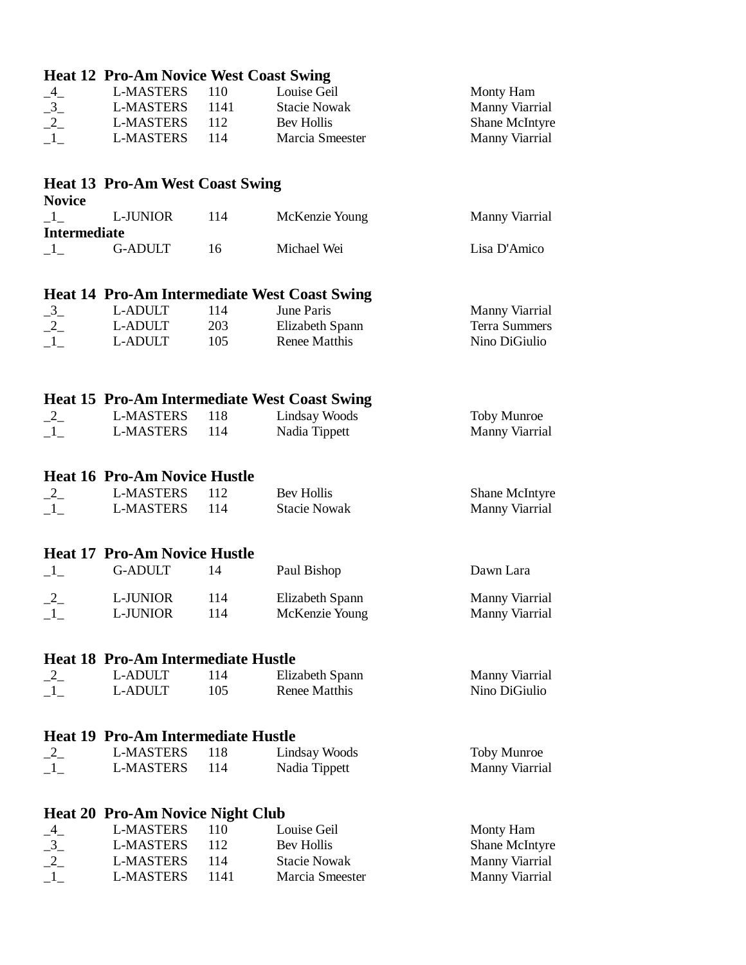|                                           | <b>Heat 12 Pro-Am Novice West Coast Swing</b> |      |                                                     |                       |  |
|-------------------------------------------|-----------------------------------------------|------|-----------------------------------------------------|-----------------------|--|
|                                           | <b>L-MASTERS</b>                              | 110  | Louise Geil                                         | Monty Ham             |  |
|                                           | <b>L-MASTERS</b>                              | 1141 | <b>Stacie Nowak</b>                                 | Manny Viarrial        |  |
| $\frac{-4}{-3}$<br>$\frac{-3}{-2}$        | <b>L-MASTERS</b>                              | 112  | Bev Hollis                                          | Shane McIntyre        |  |
| $\mathbf{-1}$                             | <b>L-MASTERS</b>                              | 114  | Marcia Smeester                                     | Manny Viarrial        |  |
|                                           |                                               |      |                                                     |                       |  |
|                                           | <b>Heat 13 Pro-Am West Coast Swing</b>        |      |                                                     |                       |  |
| <b>Novice</b>                             |                                               |      |                                                     |                       |  |
| $\_1\_$<br><b>Intermediate</b>            | L-JUNIOR                                      | 114  | McKenzie Young                                      | Manny Viarrial        |  |
| $\_{1}$                                   | <b>G-ADULT</b>                                | 16   | Michael Wei                                         | Lisa D'Amico          |  |
|                                           |                                               |      | <b>Heat 14 Pro-Am Intermediate West Coast Swing</b> |                       |  |
| $-3$                                      | L-ADULT                                       | 114  | June Paris                                          | <b>Manny Viarrial</b> |  |
| $-2$                                      | L-ADULT                                       | 203  | Elizabeth Spann                                     | Terra Summers         |  |
| $-1$                                      | L-ADULT                                       | 105  | Renee Matthis                                       | Nino DiGiulio         |  |
|                                           |                                               |      |                                                     |                       |  |
|                                           |                                               |      | <b>Heat 15 Pro-Am Intermediate West Coast Swing</b> |                       |  |
| $-2$                                      | <b>L-MASTERS</b>                              | 118  | Lindsay Woods                                       | Toby Munroe           |  |
| $-1$                                      | <b>L-MASTERS</b>                              | 114  | Nadia Tippett                                       | Manny Viarrial        |  |
|                                           |                                               |      |                                                     |                       |  |
|                                           | <b>Heat 16 Pro-Am Novice Hustle</b>           |      |                                                     |                       |  |
| $-2$                                      | <b>L-MASTERS</b>                              | 112  | <b>Bev Hollis</b>                                   | Shane McIntyre        |  |
| $\_{1}$                                   | <b>L-MASTERS</b>                              | 114  | <b>Stacie Nowak</b>                                 | Manny Viarrial        |  |
|                                           |                                               |      |                                                     |                       |  |
|                                           | <b>Heat 17 Pro-Am Novice Hustle</b>           |      |                                                     |                       |  |
| $\_1$                                     | <b>G-ADULT</b>                                | 14   | Paul Bishop                                         | Dawn Lara             |  |
| $-2$                                      | L-JUNIOR                                      | 114  | Elizabeth Spann                                     | Manny Viarrial        |  |
| —*—                                       | L-JUNIOR                                      | 114  | McKenzie Young                                      | Manny Viarrial        |  |
|                                           |                                               |      |                                                     |                       |  |
|                                           | <b>Heat 18 Pro-Am Intermediate Hustle</b>     |      |                                                     |                       |  |
| $-2$                                      | L-ADULT                                       | 114  | Elizabeth Spann                                     | Manny Viarrial        |  |
| $\_1\_$                                   | L-ADULT                                       | 105  | <b>Renee Matthis</b>                                | Nino DiGiulio         |  |
| <b>Heat 19 Pro-Am Intermediate Hustle</b> |                                               |      |                                                     |                       |  |
| $-2$                                      | <b>L-MASTERS</b>                              | 118  | Lindsay Woods                                       | Toby Munroe           |  |
| $-1$                                      | <b>L-MASTERS</b>                              | 114  | Nadia Tippett                                       | Manny Viarrial        |  |
|                                           |                                               |      |                                                     |                       |  |
|                                           | <b>Heat 20 Pro-Am Novice Night Club</b>       |      |                                                     |                       |  |
|                                           | <b>L-MASTERS</b>                              | 110  | Louise Geil                                         | Monty Ham             |  |
|                                           | <b>L-MASTERS</b>                              | 112  | <b>Bev Hollis</b>                                   | Shane McIntyre        |  |
|                                           | <b>L-MASTERS</b>                              | 114  | <b>Stacie Nowak</b>                                 | Manny Viarrial        |  |
| $-4$<br>$-3$<br>$-2$<br>$-1$              | <b>L-MASTERS</b>                              | 1141 | Marcia Smeester                                     | Manny Viarrial        |  |
|                                           |                                               |      |                                                     |                       |  |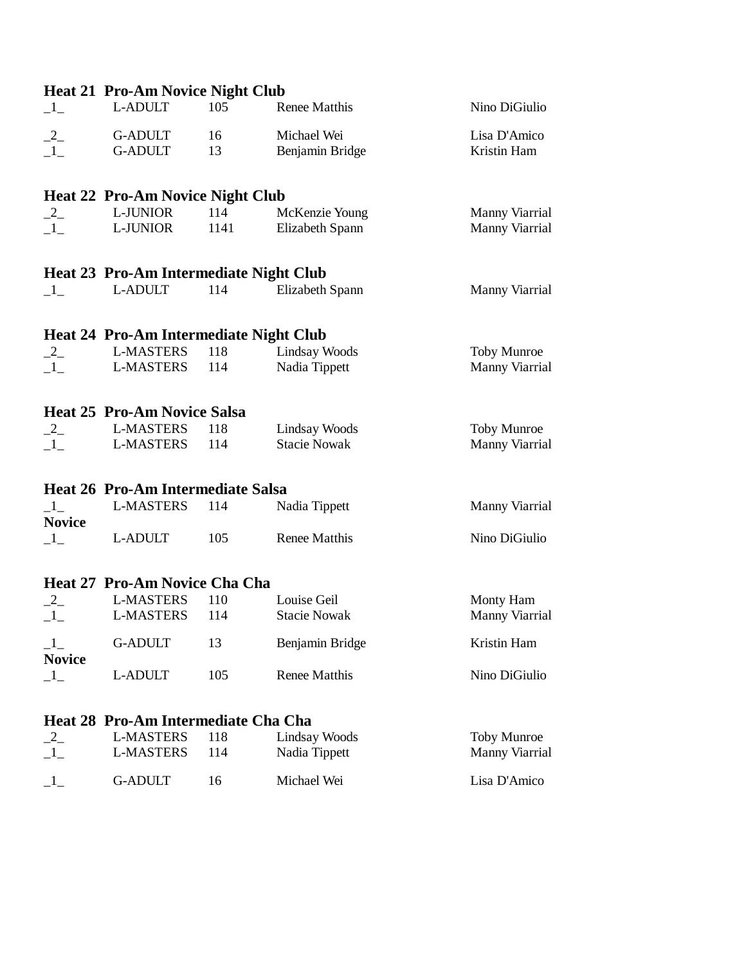|                           | <b>Heat 21 Pro-Am Novice Night Club</b>       |      |                      |                    |
|---------------------------|-----------------------------------------------|------|----------------------|--------------------|
| $\_1$                     | L-ADULT                                       | 105  | Renee Matthis        | Nino DiGiulio      |
| $-2$                      | <b>G-ADULT</b>                                | 16   | Michael Wei          | Lisa D'Amico       |
| $\mathbf{1}_{-}$          | <b>G-ADULT</b>                                | 13   | Benjamin Bridge      | Kristin Ham        |
|                           | <b>Heat 22 Pro-Am Novice Night Club</b>       |      |                      |                    |
| $-2$                      | L-JUNIOR                                      | 114  | McKenzie Young       | Manny Viarrial     |
| $\_1\_$                   | L-JUNIOR                                      | 1141 | Elizabeth Spann      | Manny Viarrial     |
|                           | <b>Heat 23 Pro-Am Intermediate Night Club</b> |      |                      |                    |
| $\_1\_$                   | L-ADULT                                       | 114  | Elizabeth Spann      | Manny Viarrial     |
|                           | <b>Heat 24 Pro-Am Intermediate Night Club</b> |      |                      |                    |
| $-2$                      | <b>L-MASTERS</b>                              | 118  | Lindsay Woods        | <b>Toby Munroe</b> |
|                           | <b>L-MASTERS</b>                              | 114  | Nadia Tippett        | Manny Viarrial     |
|                           | <b>Heat 25 Pro-Am Novice Salsa</b>            |      |                      |                    |
| $-2$                      | <b>L-MASTERS</b>                              | 118  | Lindsay Woods        | <b>Toby Munroe</b> |
| $\_1\_$                   | <b>L-MASTERS</b>                              | 114  | <b>Stacie Nowak</b>  | Manny Viarrial     |
|                           | <b>Heat 26 Pro-Am Intermediate Salsa</b>      |      |                      |                    |
| $\_{1-}$<br><b>Novice</b> | <b>L-MASTERS</b>                              | 114  | Nadia Tippett        | Manny Viarrial     |
| $\_1\_$                   | L-ADULT                                       | 105  | <b>Renee Matthis</b> | Nino DiGiulio      |
|                           | Heat 27 Pro-Am Novice Cha Cha                 |      |                      |                    |
| $-2$                      | <b>L-MASTERS</b>                              | 110  | Louise Geil          | Monty Ham          |
|                           | <b>L-MASTERS</b>                              | 114  | <b>Stacie Nowak</b>  | Manny Viarrial     |
| $\_1\_$<br><b>Novice</b>  | <b>G-ADULT</b>                                | 13   | Benjamin Bridge      | Kristin Ham        |
| $-1$                      | L-ADULT                                       | 105  | Renee Matthis        | Nino DiGiulio      |
|                           | Heat 28 Pro-Am Intermediate Cha Cha           |      |                      |                    |
| $-2$                      | <b>L-MASTERS</b>                              | 118  | <b>Lindsay Woods</b> | <b>Toby Munroe</b> |
| $\_1\_$                   | <b>L-MASTERS</b>                              | 114  | Nadia Tippett        | Manny Viarrial     |

<sup>1</sup> G-ADULT 16 Michael Wei Lisa D'Amico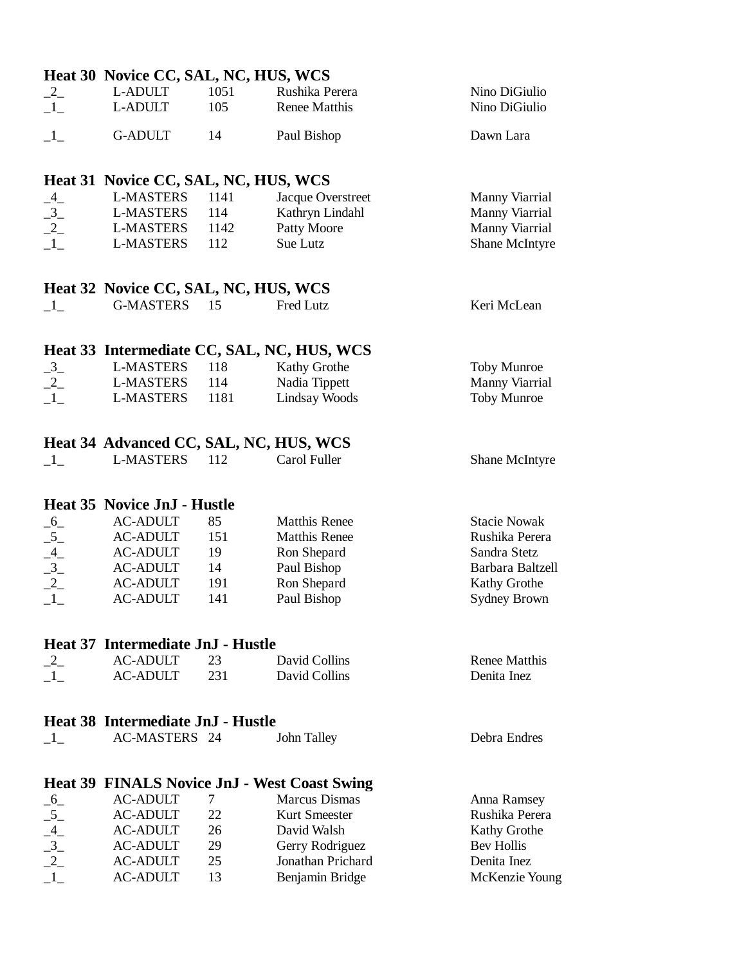|                                              | Heat 30 Novice CC, SAL, NC, HUS, WCS                 |             |                                                     |                                |
|----------------------------------------------|------------------------------------------------------|-------------|-----------------------------------------------------|--------------------------------|
| $-2$<br>$\_1\_$                              | L-ADULT<br>L-ADULT                                   | 1051<br>105 | Rushika Perera<br>Renee Matthis                     | Nino DiGiulio<br>Nino DiGiulio |
| $\_1$                                        | <b>G-ADULT</b>                                       | 14          | Paul Bishop                                         | Dawn Lara                      |
|                                              | Heat 31 Novice CC, SAL, NC, HUS, WCS                 |             |                                                     |                                |
|                                              | <b>L-MASTERS</b>                                     | 1141        | Jacque Overstreet                                   | Manny Viarrial                 |
|                                              | <b>L-MASTERS</b>                                     | 114         | Kathryn Lindahl                                     | Manny Viarrial                 |
|                                              | <b>L-MASTERS</b>                                     | 1142        | Patty Moore                                         | Manny Viarrial                 |
| $-4$<br>$-3$<br>$-2$<br>$-1$                 | <b>L-MASTERS</b>                                     | 112         | Sue Lutz                                            | Shane McIntyre                 |
|                                              | Heat 32 Novice CC, SAL, NC, HUS, WCS                 |             |                                                     |                                |
| $-1$                                         | <b>G-MASTERS</b>                                     | -15         | Fred Lutz                                           | Keri McLean                    |
|                                              |                                                      |             |                                                     |                                |
|                                              |                                                      |             | Heat 33 Intermediate CC, SAL, NC, HUS, WCS          |                                |
|                                              | <b>L-MASTERS</b>                                     | 118         | Kathy Grothe                                        | Toby Munroe                    |
| $\frac{-3}{-2}$                              | <b>L-MASTERS</b>                                     | 114         | Nadia Tippett                                       | Manny Viarrial                 |
| $\_1\_$                                      | <b>L-MASTERS</b>                                     | 1181        | Lindsay Woods                                       | Toby Munroe                    |
|                                              |                                                      |             |                                                     |                                |
|                                              | Heat 34 Advanced CC, SAL, NC, HUS, WCS               |             |                                                     |                                |
| $-1$                                         | <b>L-MASTERS</b>                                     | 112         | Carol Fuller                                        | Shane McIntyre                 |
|                                              |                                                      |             |                                                     |                                |
|                                              | Heat 35 Novice JnJ - Hustle                          |             |                                                     |                                |
|                                              | <b>AC-ADULT</b>                                      | 85          | <b>Matthis Renee</b>                                | <b>Stacie Nowak</b>            |
|                                              | <b>AC-ADULT</b>                                      | 151         | <b>Matthis Renee</b>                                | Rushika Perera                 |
|                                              | <b>AC-ADULT</b>                                      | 19          | Ron Shepard                                         | Sandra Stetz                   |
|                                              | <b>AC-ADULT</b>                                      | 14          | Paul Bishop                                         | Barbara Baltzell               |
| $-6$<br>$-5$<br>$-4$<br>$-3$<br>$-2$<br>$-1$ | <b>AC-ADULT</b>                                      | 191         | Ron Shepard                                         | <b>Kathy Grothe</b>            |
|                                              | <b>AC-ADULT</b>                                      | 141         | Paul Bishop                                         | <b>Sydney Brown</b>            |
|                                              |                                                      |             |                                                     |                                |
|                                              | Heat 37 Intermediate JnJ - Hustle<br><b>AC-ADULT</b> |             | David Collins                                       | <b>Renee Matthis</b>           |
| $-2$<br>$-1$                                 | <b>AC-ADULT</b>                                      | 23<br>231   | David Collins                                       | Denita Inez                    |
|                                              |                                                      |             |                                                     |                                |
|                                              | Heat 38 Intermediate JnJ - Hustle                    |             |                                                     |                                |
| $-1-$                                        | AC-MASTERS 24                                        |             | John Talley                                         | Debra Endres                   |
|                                              |                                                      |             |                                                     |                                |
|                                              |                                                      |             | <b>Heat 39 FINALS Novice JnJ - West Coast Swing</b> |                                |
| $-6$                                         | <b>AC-ADULT</b>                                      | $\tau$      | <b>Marcus Dismas</b>                                | Anna Ramsey                    |
| $-5$                                         | <b>AC-ADULT</b>                                      | 22          | Kurt Smeester                                       | Rushika Perera                 |
|                                              | <b>AC-ADULT</b>                                      | 26          | David Walsh                                         | Kathy Grothe                   |
|                                              | <b>AC-ADULT</b>                                      | 29          | Gerry Rodriguez                                     | <b>Bev Hollis</b>              |
| $-4$<br>$-3$<br>$-2$<br>$-1$                 | <b>AC-ADULT</b>                                      | 25          | Jonathan Prichard                                   | Denita Inez                    |
|                                              | <b>AC-ADULT</b>                                      | 13          | Benjamin Bridge                                     | McKenzie Young                 |
|                                              |                                                      |             |                                                     |                                |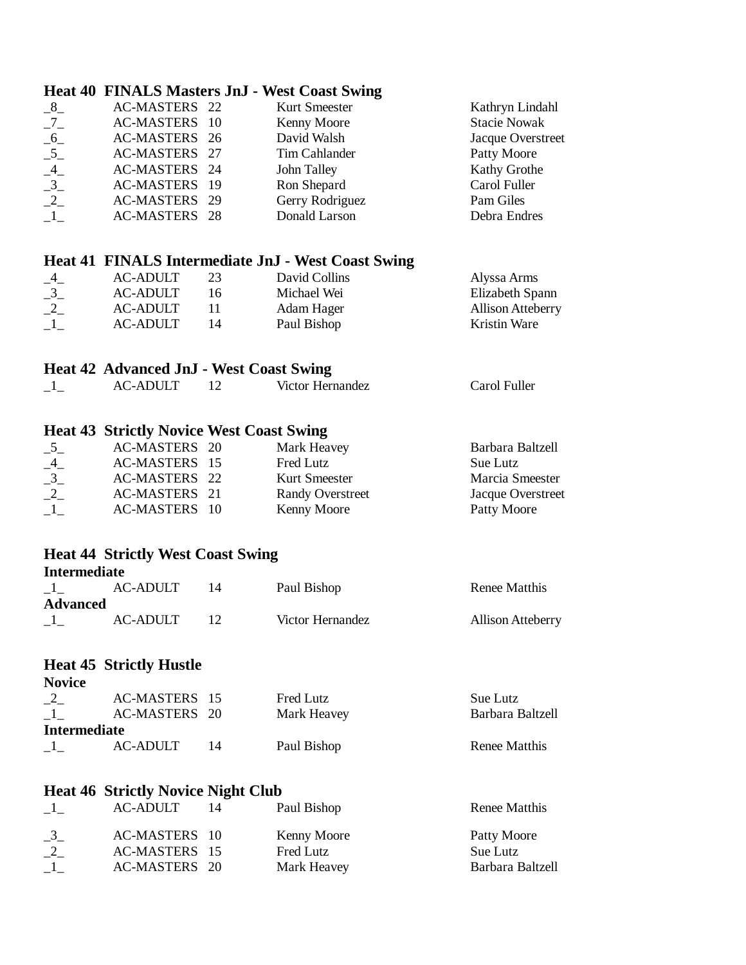### **Heat 40 FINALS Masters JnJ - West Coast Swing**

| $-8$ | AC-MASTERS 22 | Kurt Smeester   | Kathryn Lindahl     |  |
|------|---------------|-----------------|---------------------|--|
| $-7$ | AC-MASTERS 10 | Kenny Moore     | <b>Stacie Nowak</b> |  |
| $-6$ | AC-MASTERS 26 | David Walsh     | Jacque Overstreet   |  |
| $-5$ | AC-MASTERS 27 | Tim Cahlander   | Patty Moore         |  |
| $-4$ | AC-MASTERS 24 | John Talley     | Kathy Grothe        |  |
| $-3$ | AC-MASTERS 19 | Ron Shepard     | Carol Fuller        |  |
| $-2$ | AC-MASTERS 29 | Gerry Rodriguez | Pam Giles           |  |
|      | AC-MASTERS 28 | Donald Larson   | Debra Endres        |  |
|      |               |                 |                     |  |

#### **Heat 41 FINALS Intermediate JnJ - West Coast Swing**

| $-4-$          | <b>AC-ADULT</b>      | $\sim$<br>ر ب | David Collins | Alyssa Arms              |  |
|----------------|----------------------|---------------|---------------|--------------------------|--|
| $\sim$<br>$ -$ | <b>AC-ADULT</b>      | 16            | Michael Wei   | Elizabeth Spann          |  |
| $ -$           | <b>AC-ADULT</b>      | 11            | Adam Hager    | <b>Allison Atteberry</b> |  |
| —÷—            | <b>C-ADULT</b><br>AC | 14            | Paul Bishop   | Kristin Ware             |  |
|                |                      |               |               |                          |  |

#### **Heat 42 Advanced JnJ - West Coast Swing**

| $\rightarrow$<br>-<br>ำเ.<br>Fuller<br>AC<br>arol<br>/1ctor<br>ternandez<br>$\mathbf{r}$<br>пe<br>∍ت∟ت<br>$\mathbf{v}$<br>_ _ |  |
|-------------------------------------------------------------------------------------------------------------------------------|--|

## **Heat 43 Strictly Novice West Coast Swing**

| $ -$  | AC-MASTERS 20 |     | Mark Heavey             | Barbara Baltzell  |
|-------|---------------|-----|-------------------------|-------------------|
| $-4-$ | AC-MASTERS 15 |     | Fred Lutz               | Sue Lutz          |
| $-2$  | AC-MASTERS 22 |     | Kurt Smeester           | Marcia Smeester   |
| $ -$  | AC-MASTERS 21 |     | <b>Randy Overstreet</b> | Jacque Overstreet |
| —*—   | AC-MASTERS    | -10 | Kenny Moore             | Patty Moore       |

### **Heat 44 Strictly West Coast Swing**

#### **Intermediate**

**Novice**

| $ -$     | <b>ADULT</b> | -4 | Paul Bishop      | <b>Renee Matthis</b> |
|----------|--------------|----|------------------|----------------------|
| Advanced |              |    |                  |                      |
| —*—      | <b>NITT</b>  |    | Victor Hernandez | Allison<br>Atteberry |

#### **Heat 45 Strictly Hustle**

| $\sim$<br>–″–<br>$ -$ | <b>AC-MASTERS</b><br><b>AC-MASTERS</b> | 20 | Fred Lutz<br>Mark Heavey | Sue Lutz<br>Barbara Baltzell |
|-----------------------|----------------------------------------|----|--------------------------|------------------------------|
| <b>Intermediate</b>   |                                        |    |                          |                              |
| $ -$                  | <b>AC-ADULT</b>                        |    | Paul Bishop              | <b>Renee Matthis</b>         |

#### **Heat 46 Strictly Novice Night Club**

| —*—               | <b>AC-ADULT</b>   | 14   | Paul Bishop | Renee Matthis    |
|-------------------|-------------------|------|-------------|------------------|
| $ -$              | <b>AC-MASTERS</b> | - 10 | Kenny Moore | Patty Moore      |
| $\bigcap$<br>$ -$ | AC-MASTERS 15     |      | Fred Lutz   | Sue Lutz         |
| —*—               | AC-MASTERS        | -20  | Mark Heavey | Barbara Baltzell |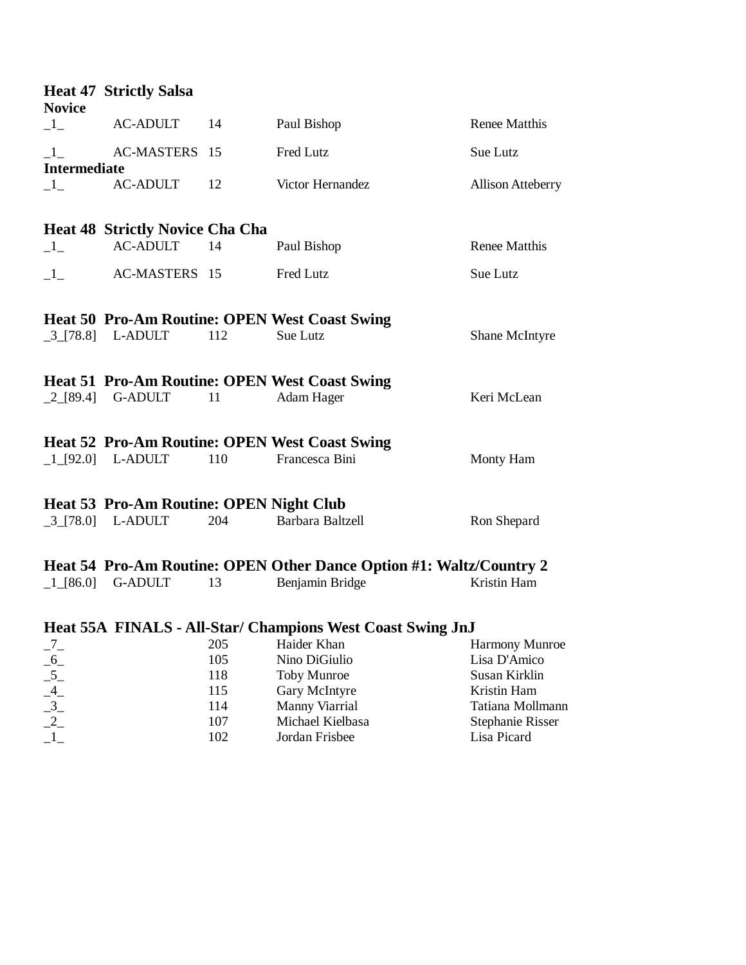| <b>Novice</b>                                                                     | <b>Heat 47 Strictly Salsa</b>                  |            |                                                                     |                                |
|-----------------------------------------------------------------------------------|------------------------------------------------|------------|---------------------------------------------------------------------|--------------------------------|
| $\mathbf{-1}$                                                                     | <b>AC-ADULT</b>                                | 14         | Paul Bishop                                                         | <b>Renee Matthis</b>           |
| $\mathbf{I}_{-}$                                                                  | AC-MASTERS 15                                  |            | Fred Lutz                                                           | Sue Lutz                       |
| <b>Intermediate</b><br>$\mathbf{-1}$                                              | <b>AC-ADULT</b>                                | 12         | Victor Hernandez                                                    | <b>Allison Atteberry</b>       |
|                                                                                   | <b>Heat 48 Strictly Novice Cha Cha</b>         |            |                                                                     |                                |
| $-1$                                                                              | <b>AC-ADULT</b>                                | 14         | Paul Bishop                                                         | Renee Matthis                  |
| $-1$                                                                              | AC-MASTERS 15                                  |            | Fred Lutz                                                           | Sue Lutz                       |
|                                                                                   |                                                |            | <b>Heat 50 Pro-Am Routine: OPEN West Coast Swing</b>                |                                |
|                                                                                   | $\left[ .3\right]$ [78.8] L-ADULT              | 112        | Sue Lutz                                                            | Shane McIntyre                 |
|                                                                                   |                                                |            | <b>Heat 51 Pro-Am Routine: OPEN West Coast Swing</b>                |                                |
|                                                                                   | $\left\lfloor 2 \right\rfloor$ [89.4] G-ADULT  | 11         | Adam Hager                                                          | Keri McLean                    |
|                                                                                   |                                                |            | <b>Heat 52 Pro-Am Routine: OPEN West Coast Swing</b>                |                                |
|                                                                                   | $\lfloor 1 \rfloor$ [92.0] L-ADULT             | 110        | Francesca Bini                                                      | Monty Ham                      |
|                                                                                   | <b>Heat 53 Pro-Am Routine: OPEN Night Club</b> |            |                                                                     |                                |
|                                                                                   | $\left[ .3\right]$ [78.0] L-ADULT              | 204        | Barbara Baltzell                                                    | Ron Shepard                    |
|                                                                                   |                                                |            | Heat 54 Pro-Am Routine: OPEN Other Dance Option #1: Waltz/Country 2 |                                |
|                                                                                   | $\lfloor 1 \rfloor [86.0]$ G-ADULT             | 13         | Benjamin Bridge                                                     | Kristin Ham                    |
|                                                                                   |                                                |            | Heat 55A FINALS - All-Star/ Champions West Coast Swing JnJ          |                                |
| $\frac{7}{6}$<br>$\frac{6}{5}$<br>$\frac{4}{3}$<br>$\frac{3}{2}$<br>$\frac{2}{1}$ |                                                | 205<br>105 | Haider Khan<br>Nino DiGiulio                                        | Harmony Munroe<br>Lisa D'Amico |
|                                                                                   |                                                | 118        | <b>Toby Munroe</b>                                                  | Susan Kirklin                  |
|                                                                                   |                                                | 115        | Gary McIntyre                                                       | Kristin Ham                    |
|                                                                                   |                                                | 114        | Manny Viarrial                                                      | Tatiana Mollmann               |
|                                                                                   |                                                | 107        | Michael Kielbasa                                                    | <b>Stephanie Risser</b>        |
|                                                                                   |                                                | 102        | Jordan Frisbee                                                      | Lisa Picard                    |